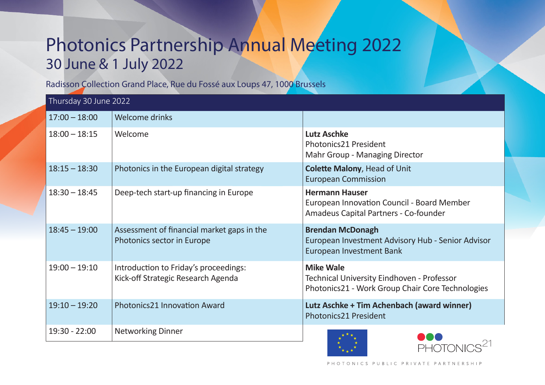## Photonics Partnership Annual Meeting 2022 30 June & 1 July 2022

Radisson Collection Grand Place, Rue du Fossé aux Loups 47, 1000 Brussels

| Thursday 30 June 2022 |                                                                             |                                                                                                                    |
|-----------------------|-----------------------------------------------------------------------------|--------------------------------------------------------------------------------------------------------------------|
| $17:00 - 18:00$       | Welcome drinks                                                              |                                                                                                                    |
| $18:00 - 18:15$       | Welcome                                                                     | <b>Lutz Aschke</b><br>Photonics21 President<br>Mahr Group - Managing Director                                      |
| $18:15 - 18:30$       | Photonics in the European digital strategy                                  | <b>Colette Malony, Head of Unit</b><br><b>European Commission</b>                                                  |
| $18:30 - 18:45$       | Deep-tech start-up financing in Europe                                      | <b>Hermann Hauser</b><br>European Innovation Council - Board Member<br>Amadeus Capital Partners - Co-founder       |
| $18:45 - 19:00$       | Assessment of financial market gaps in the<br>Photonics sector in Europe    | <b>Brendan McDonagh</b><br>European Investment Advisory Hub - Senior Advisor<br><b>European Investment Bank</b>    |
| $19:00 - 19:10$       | Introduction to Friday's proceedings:<br>Kick-off Strategic Research Agenda | <b>Mike Wale</b><br>Technical University Eindhoven - Professor<br>Photonics21 - Work Group Chair Core Technologies |
| $19:10 - 19:20$       | <b>Photonics21 Innovation Award</b>                                         | Lutz Aschke + Tim Achenbach (award winner)<br>Photonics21 President                                                |
| 19:30 - 22:00         | <b>Networking Dinner</b>                                                    | PHOTON                                                                                                             |